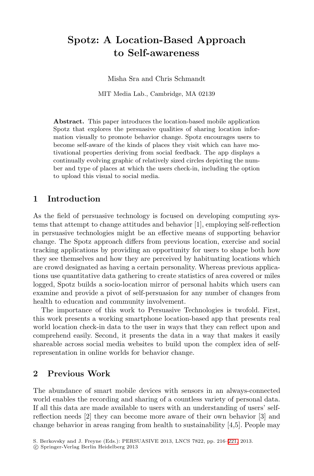## **Spotz: A Location-Based Approach to Self-awareness**

Misha Sra and Chris Schmandt

MIT Media Lab., Cambridge, MA 02139

**Abstract.** This paper introduces the location-based mobile application Spotz that explores the persuasive qualities of sharing location information visually to promote behavior change. Spotz encourages users to become self-aware of the kinds of places they visit which can have motivational properties deriving from social feedback. The app displays a continually evolving graphic of relatively sized circles depicting the number and type of places at which the users check-in, including the option to upload this visual to social media.

## **1 Introduction**

As the field of persuasive technology is focused on developing computing systems that attempt to change attitudes and behavior [1], employing self-reflection in persuasive technologies might be an effective means of supporting behavior change. The Spotz approach differs from previous location, exercise and social tracking applications by providing an opportunity for users to shape both how they see themselves and how they are perceived by habituating locations which are crowd designated as having a certain personality. Whereas previous applications use quantitative data gathering to create statistics of area covered or miles logged, Spotz builds a socio-location mirror of personal habits which users can examine and provide a pivot of self-persuasion for any number of changes from health to education and community involvement.

The importance of this work to Persuasive Technologies is twofold. First, this work presents a working smartphone location-based app that presents real world location check-in data to the user in ways that they can reflect upon and comprehend easily. Second, it presents the data in a way that makes it easily shareable across social media websites to build upon the complex idea of selfrepresentation in online worlds for behavior change.

## **2 Previous Work**

The abundance of smart mobile devices with sensors in an always-connected world enables the recording and sharing of a countless variety of personal data. If all this data are made available to users with an understanding of users' selfreflection needs [2] they can become more aware of their own behavior [3] and change behavior in areas ranging from health to sustainability [4,5]. People may

S. Berkovsky and J. Freyne (Eds.): PERSUASIVE 2013, LNCS 7822, pp. 216–221, 2013.

<sup>-</sup>c Springer-Verlag Berlin Heidelberg 2013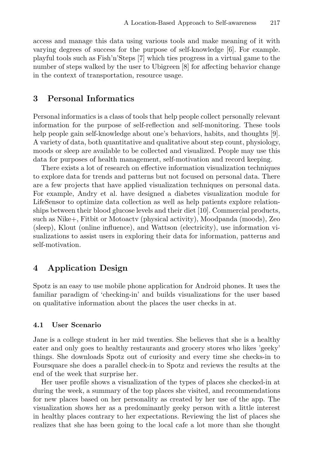access and manage this data using various tools and make meaning of it with varying degrees of success for the purpose of self-knowledge [6]. For example. playful tools such as Fish'n'Steps [7] which ties progress in a virtual game to the number of steps walked by the user to Ubigreen [8] for affecting behavior change in the context of transportation, resource usage.

## **3 Personal Informatics**

Personal informatics is a class of tools that help people collect personally relevant information for the purpose of self-reflection and self-monitoring. These tools help people gain self-knowledge about one's behaviors, habits, and thoughts [9]. A variety of data, both quantitative and qualitative about step count, physiology, moods or sleep are available to be collected and visualized. People may use this data for purposes of health management, self-motivation and record keeping.

There exists a lot of research on effective information visualization techniques to explore data for trends and patterns but not focused on personal data. There are a few projects that have applied visualization techniques on personal data. For example, Andry et al. have designed a diabetes visualization module for LifeSensor to optimize data collection as well as help patients explore relationships between their blood glucose levels and their diet [10]. Commercial products, such as Nike+, Fitbit or Motoactv (physical activity), Moodpanda (moods), Zeo (sleep), Klout (online influence), and Wattson (electricity), use information visualizations to assist users in exploring their data for information, patterns and self-motivation.

## **4 Application Design**

Spotz is an easy to use mobile phone application for Android phones. It uses the familiar paradigm of 'checking-in' and builds visualizations for the user based on qualitative information about the places the user checks in at.

### **User Scenario** 4.1

Jane is a college student in her mid twenties. She believes that she is a healthy eater and only goes to healthy restaurants and grocery stores who likes 'geeky' things. She downloads Spotz out of curiosity and every time she checks-in to Foursquare she does a parallel check-in to Spotz and reviews the results at the end of the week that surprise her.

Her user profile shows a visualization of the types of places she checked-in at during the week, a summary of the top places she visited, and recommendations for new places based on her personality as created by her use of the app. The visualization shows her as a predominantly geeky person with a little interest in healthy places contrary to her expectations. Reviewing the list of places she realizes that she has been going to the local cafe a lot more than she thought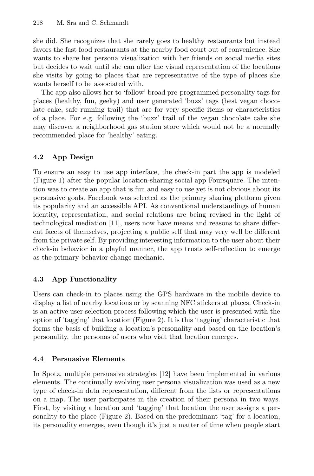she did. She recognizes that she rarely goes to healthy restaurants but instead favors the fast food restaurants at the nearby food court out of convenience. She wants to share her persona visualization with her friends on social media sites but decides to wait until she can alter the visual representation of the locations she visits by going to places that are representative of the type of places she wants herself to be associated with.

The app also allows her to 'follow' broad pre-programmed personality tags for places (healthy, fun, geeky) and user generated 'buzz' tags (best vegan chocolate cake, safe running trail) that are for very specific items or characteristics of a place. For e.g. following the 'buzz' trail of the vegan chocolate cake she may discover a neighborhood gas station store which would not be a normally recommended place for 'healthy' eating.

# **4.2 a**

To ensure an easy to use app interface, the check-in part the app is modeled (Figure 1) after the popular location-sharing social app Foursquare. The intention was to create an app that is fun and easy to use yet is not obvious about its persuasive goals. Facebook was selected as the primary sharing platform given its popularity and an accessible API. As conventional understandings of human identity, representation, and social relations are being revised in the light of technological mediation [11], users now have means and reasons to share different facets of themselves, projecting a public self that may very well be different from the private self. By providing interesting information to the user about their check-in behavior in a playful manner, the app trusts self-reflection to emerge as the primary behavior change mechanic.

## 4.3 **4.4 a**

Users can check-in to places using the GPS hardware in the mobile device to display a list of nearby locations or by scanning NFC stickers at places. Check-in is an active user selection process following which the user is presented with the option of 'tagging' that location (Figure 2). It is this 'tagging' characteristic that forms the basis of building a location's personality and based on the location's personality, the personas of users who visit that location emerges.

In Spotz, multiple persuasive strategies [12] have been implemented in various elements. The continually evolving user persona visualization was used as a new type of check-in data representation, different from the lists or representations on a map. The user participates in the creation of their persona in two ways. First, by visiting a location and 'tagging' that location the user assigns a personality to the place (Figure 2). Based on the predominant 'tag' for a location, its personality emerges, even though it's just a matter of time when people start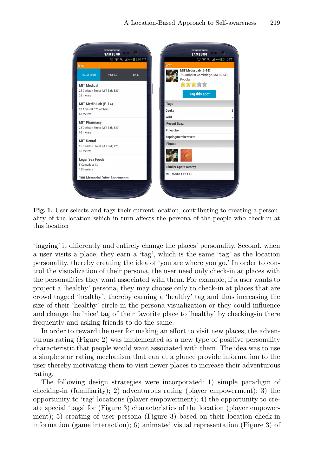| <b>① ◆ 45 1 98% 3:10 PM</b><br><b>① ◆ 4g, 4d 98%</b> 3:10 PM                      |
|-----------------------------------------------------------------------------------|
| <b>Spotz</b><br>MIT Media Lab (E-14)<br>75 Amherst Cambridge, MA 02139<br>Popular |
| 含含含含含<br><b>Tag this spot</b>                                                     |
| <b>Tags</b>                                                                       |
| Geeky                                                                             |
| Wild<br><b>Recent Buzz</b>                                                        |
| #thecube                                                                          |
| #springmemberevent                                                                |
| <b>Photos</b>                                                                     |
|                                                                                   |
| <b>Similar Spots Nearby</b>                                                       |
| MIT Media Lab E15                                                                 |
|                                                                                   |

**Fig. 1.** User selects and tags their current location, contributing to creating a personality of the location which in turn affects the persona of the people who check-in at this location

'tagging' it differently and entirely change the places' personality. Second, when a user visits a place, they earn a 'tag', which is the same 'tag' as the location personality, thereby creating the idea of 'you are where you go.' In order to control the visualization of their persona, the user need only check-in at places with the personalities they want associated with them. For example, if a user wants to project a 'healthy' persona, they may choose only to check-in at places that are crowd tagged 'healthy', thereby earning a 'healthy' tag and thus increasing the size of their 'healthy' circle in the persona visualization or they could influence and change the 'nice' tag of their favorite place to 'healthy' by checking-in there frequently and asking friends to do the same.

In order to reward the user for making an effort to visit new places, the adventurous rating (Figure 2) was implemented as a new type of positive personality characteristic that people would want associated with them. The idea was to use a simple star rating mechanism that can at a glance provide information to the user thereby motivating them to visit newer places to increase their adventurous rating.

The following design strategies were incorporated: 1) simple paradigm of checking-in (familiarity); 2) adventurous rating (player empowerment); 3) the opportunity to 'tag' locations (player empowerment); 4) the opportunity to create special 'tags' for (Figure 3) characteristics of the location (player empowerment); 5) creating of user persona (Figure 3) based on their location check-in information (game interaction); 6) animated visual representation (Figure 3) of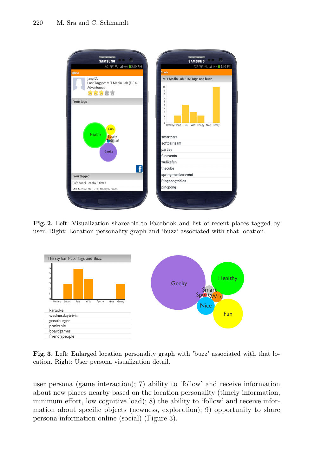

**Fig. 2.** Left: Visualization shareable to Facebook and list of recent places tagged by user. Right: Location personality graph and 'buzz' associated with that location.



**Fig. 3.** Left: Enlarged location personality graph with 'buzz' associated with that location. Right: User persona visualization detail.

user persona (game interaction); 7) ability to 'follow' and receive information about new places nearby based on the location personality (timely information, minimum effort, low cognitive load); 8) the ability to 'follow' and receive information about specific objects (newness, exploration); 9) opportunity to share persona information online (social) (Figure 3).